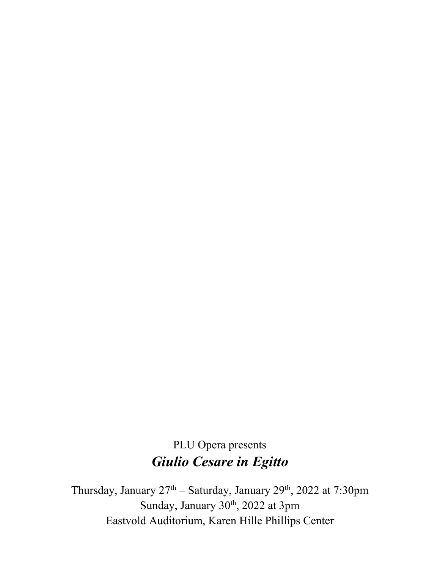# PLU Opera presents *Giulio Cesare in Egitto*

Thursday, January  $27<sup>th</sup>$  – Saturday, January  $29<sup>th</sup>$ ,  $2022$  at  $7:30 \text{pm}$ Sunday, January 30<sup>th</sup>, 2022 at 3pm Eastvold Auditorium, Karen Hille Phillips Center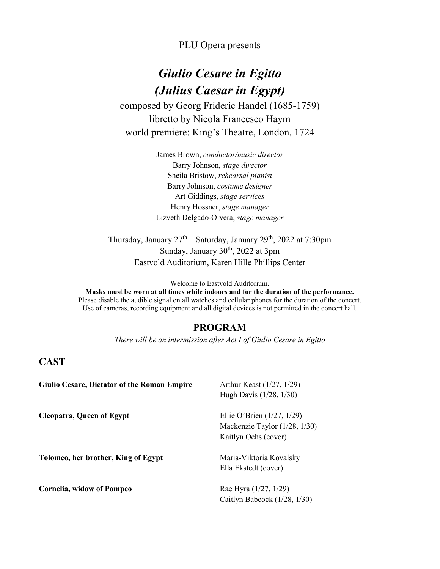PLU Opera presents

## *Giulio Cesare in Egitto (Julius Caesar in Egypt)*

composed by Georg Frideric Handel (1685-1759) libretto by Nicola Francesco Haym world premiere: King's Theatre, London, 1724

> James Brown, *conductor/music director* Barry Johnson, *stage director* Sheila Bristow, *rehearsal pianist* Barry Johnson, *costume designer* Art Giddings, *stage services* Henry Hossner, *stage manager* Lizveth Delgado-Olvera, *stage manager*

Thursday, January  $27<sup>th</sup>$  – Saturday, January  $29<sup>th</sup>$ ,  $2022$  at 7:30pm Sunday, January 30<sup>th</sup>, 2022 at 3pm Eastvold Auditorium, Karen Hille Phillips Center

Welcome to Eastvold Auditorium.

**Masks must be worn at all times while indoors and for the duration of the performance.** Please disable the audible signal on all watches and cellular phones for the duration of the concert. Use of cameras, recording equipment and all digital devices is not permitted in the concert hall.

### **PROGRAM**

*There will be an intermission after Act I of Giulio Cesare in Egitto*

### **CAST**

| <b>Giulio Cesare, Dictator of the Roman Empire</b> | Arthur Keast $(1/27, 1/29)$   |
|----------------------------------------------------|-------------------------------|
|                                                    | Hugh Davis (1/28, 1/30)       |
| <b>Cleopatra, Queen of Egypt</b>                   | Ellie O'Brien $(1/27, 1/29)$  |
|                                                    | Mackenzie Taylor (1/28, 1/30) |
|                                                    | Kaitlyn Ochs (cover)          |
| Tolomeo, her brother, King of Egypt                | Maria-Viktoria Kovalsky       |
|                                                    | Ella Ekstedt (cover)          |
| Cornelia, widow of Pompeo                          | Rae Hyra (1/27, 1/29)         |
|                                                    | Caitlyn Babcock (1/28, 1/30)  |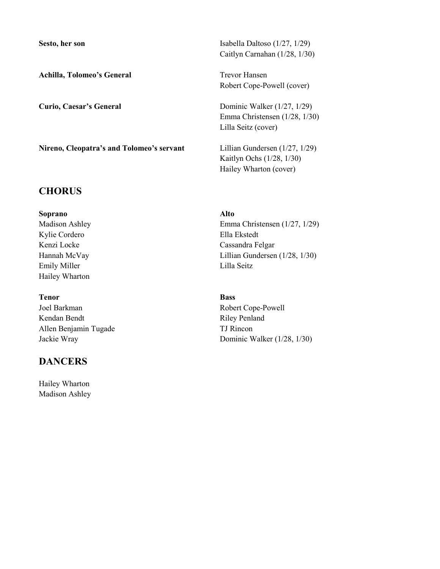Achilla, Tolomeo's General Trevor Hansen

**Nireno, Cleopatra's and Tolomeo's servant** Lillian Gundersen (1/27, 1/29)

### **CHORUS**

**Soprano Alto** Kylie Cordero **Ella Ekstedt** Emily Miller Lilla Seitz Hailey Wharton

**Tenor Bass** Joel Barkman Robert Cope-Powell Kendan Bendt Riley Penland Allen Benjamin Tugade TJ Rincon

### **DANCERS**

Hailey Wharton Madison Ashley

Sesto, her son Isabella Daltoso (1/27, 1/29) Caitlyn Carnahan (1/28, 1/30)

Robert Cope-Powell (cover)

**Curio, Caesar's General** Dominic Walker (1/27, 1/29) Emma Christensen (1/28, 1/30) Lilla Seitz (cover)

> Kaitlyn Ochs (1/28, 1/30) Hailey Wharton (cover)

Madison Ashley Emma Christensen (1/27, 1/29) Kenzi Locke Cassandra Felgar Hannah McVay Lillian Gundersen (1/28, 1/30)

Jackie Wray Dominic Walker (1/28, 1/30)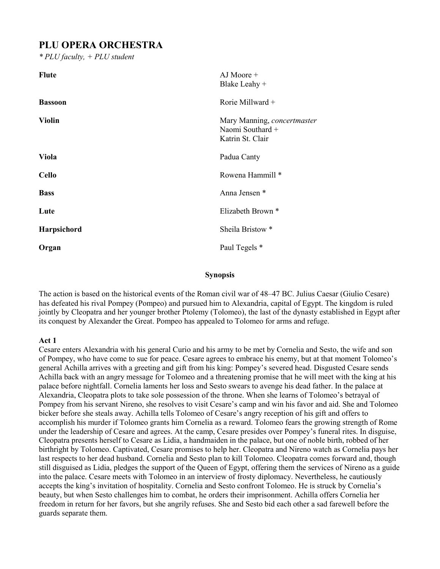## **PLU OPERA ORCHESTRA**

*\* PLU faculty, + PLU student*

| <b>Flute</b>       | $AJ$ Moore $+$<br>Blake Leahy +                                     |
|--------------------|---------------------------------------------------------------------|
| <b>Bassoon</b>     | Rorie Millward +                                                    |
| <b>Violin</b>      | Mary Manning, concertmaster<br>Naomi Southard +<br>Katrin St. Clair |
| Viola              | Padua Canty                                                         |
| <b>Cello</b>       | Rowena Hammill <sup>*</sup>                                         |
| <b>Bass</b>        | Anna Jensen *                                                       |
| Lute               | Elizabeth Brown <sup>*</sup>                                        |
| <b>Harpsichord</b> | Sheila Bristow <sup>*</sup>                                         |
| Organ              | Paul Tegels *                                                       |

### **Synopsis**

The action is based on the historical events of the Roman civil war of 48–47 BC. Julius Caesar (Giulio Cesare) has defeated his rival Pompey (Pompeo) and pursued him to Alexandria, capital of Egypt. The kingdom is ruled jointly by Cleopatra and her younger brother Ptolemy (Tolomeo), the last of the dynasty established in Egypt after its conquest by Alexander the Great. Pompeo has appealed to Tolomeo for arms and refuge.

### **Act 1**

Cesare enters Alexandria with his general Curio and his army to be met by Cornelia and Sesto, the wife and son of Pompey, who have come to sue for peace. Cesare agrees to embrace his enemy, but at that moment Tolomeo's general Achilla arrives with a greeting and gift from his king: Pompey's severed head. Disgusted Cesare sends Achilla back with an angry message for Tolomeo and a threatening promise that he will meet with the king at his palace before nightfall. Cornelia laments her loss and Sesto swears to avenge his dead father. In the palace at Alexandria, Cleopatra plots to take sole possession of the throne. When she learns of Tolomeo's betrayal of Pompey from his servant Nireno, she resolves to visit Cesare's camp and win his favor and aid. She and Tolomeo bicker before she steals away. Achilla tells Tolomeo of Cesare's angry reception of his gift and offers to accomplish his murder if Tolomeo grants him Cornelia as a reward. Tolomeo fears the growing strength of Rome under the leadership of Cesare and agrees. At the camp, Cesare presides over Pompey's funeral rites. In disguise, Cleopatra presents herself to Cesare as Lidia, a handmaiden in the palace, but one of noble birth, robbed of her birthright by Tolomeo. Captivated, Cesare promises to help her. Cleopatra and Nireno watch as Cornelia pays her last respects to her dead husband. Cornelia and Sesto plan to kill Tolomeo. Cleopatra comes forward and, though still disguised as Lidia, pledges the support of the Queen of Egypt, offering them the services of Nireno as a guide into the palace. Cesare meets with Tolomeo in an interview of frosty diplomacy. Nevertheless, he cautiously accepts the king's invitation of hospitality. Cornelia and Sesto confront Tolomeo. He is struck by Cornelia's beauty, but when Sesto challenges him to combat, he orders their imprisonment. Achilla offers Cornelia her freedom in return for her favors, but she angrily refuses. She and Sesto bid each other a sad farewell before the guards separate them.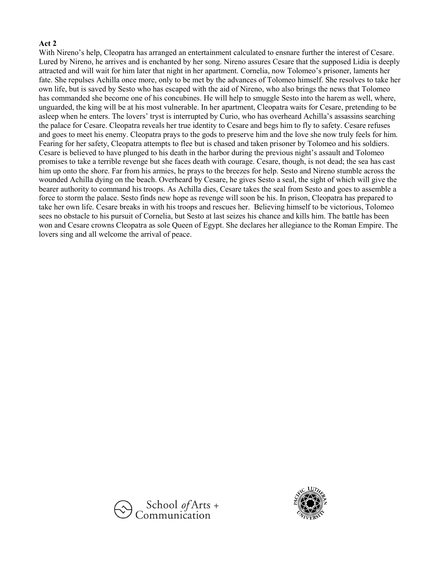### **Act 2**

With Nireno's help, Cleopatra has arranged an entertainment calculated to ensnare further the interest of Cesare. Lured by Nireno, he arrives and is enchanted by her song. Nireno assures Cesare that the supposed Lidia is deeply attracted and will wait for him later that night in her apartment. Cornelia, now Tolomeo's prisoner, laments her fate. She repulses Achilla once more, only to be met by the advances of Tolomeo himself. She resolves to take her own life, but is saved by Sesto who has escaped with the aid of Nireno, who also brings the news that Tolomeo has commanded she become one of his concubines. He will help to smuggle Sesto into the harem as well, where, unguarded, the king will be at his most vulnerable. In her apartment, Cleopatra waits for Cesare, pretending to be asleep when he enters. The lovers' tryst is interrupted by Curio, who has overheard Achilla's assassins searching the palace for Cesare. Cleopatra reveals her true identity to Cesare and begs him to fly to safety. Cesare refuses and goes to meet his enemy. Cleopatra prays to the gods to preserve him and the love she now truly feels for him. Fearing for her safety, Cleopatra attempts to flee but is chased and taken prisoner by Tolomeo and his soldiers. Cesare is believed to have plunged to his death in the harbor during the previous night's assault and Tolomeo promises to take a terrible revenge but she faces death with courage. Cesare, though, is not dead; the sea has cast him up onto the shore. Far from his armies, he prays to the breezes for help. Sesto and Nireno stumble across the wounded Achilla dying on the beach. Overheard by Cesare, he gives Sesto a seal, the sight of which will give the bearer authority to command his troops. As Achilla dies, Cesare takes the seal from Sesto and goes to assemble a force to storm the palace. Sesto finds new hope as revenge will soon be his. In prison, Cleopatra has prepared to take her own life. Cesare breaks in with his troops and rescues her. Believing himself to be victorious, Tolomeo sees no obstacle to his pursuit of Cornelia, but Sesto at last seizes his chance and kills him. The battle has been won and Cesare crowns Cleopatra as sole Queen of Egypt. She declares her allegiance to the Roman Empire. The lovers sing and all welcome the arrival of peace.